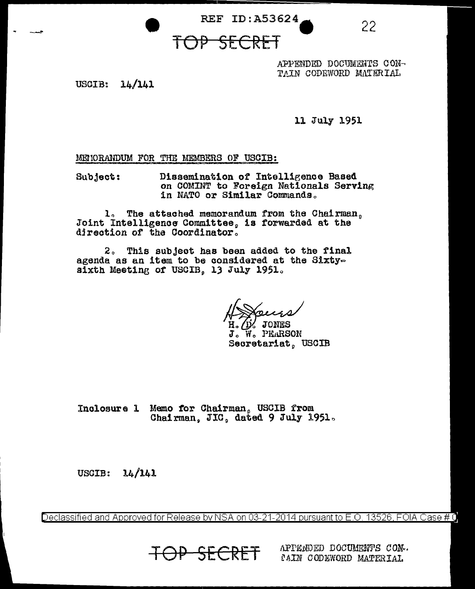22

# TOP SECRET

**REF ID: A53624** 

APPENDED DOCUMENTS CON-TAIN CODEWORD MATERIAL

USCIB:  $14/141$ 

11 July 1951

MENORANDUM FOR THE MEMBERS OF USCIB:

Dissemination of Intelligence Based Subject: on COMINT to Foreign Nationals Serving in NATO or Similar Commands.

1. The attached memorandum from the Chairman, Joint Intelligence Committee, is forwarded at the direction of the Coordinator.

2. This subject has been added to the final agenda as an item to be considered at the Sixtysixth Meeting of USCIB, 13 July 1951.

L/D/ JONES J. W. PEARSON Secretariat, USCIB

Inclosure 1 Memo for Chairman, USCIB from Chairman. JIC. dated 9 July 1951.

USCIB:  $14/141$ 

Declassified and Approved for Release by NSA on 03-21-2014 pursuant to E.O. 13526, FOIA Case # 0

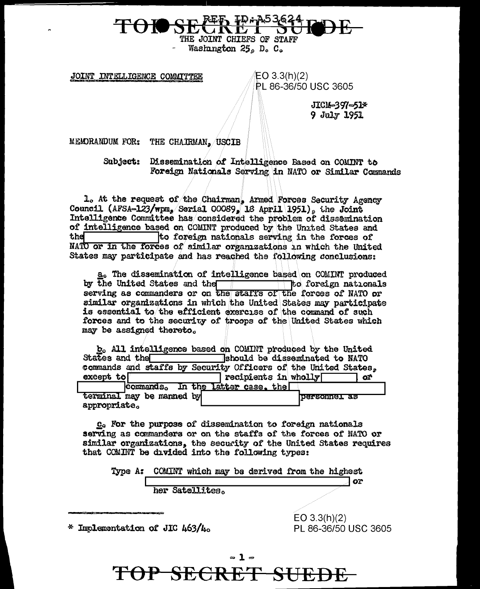THE JOINT CHIEFS OF STAFF Washington 25, D. C.

JOINT INTELLIGENCE COMMITTEE

EO 3.3(h)(2) **PL 86-36/50 USC 3605** 

> JICM-397-51\* 9 July 1951

MEMORANDUM FOR: THE CHAIRMAN, USCIB

Subject: Dissemination of Intelligence Based on COMINT to Foreign Nationals Serving in NATO or Similar Commands

1. At the request of the Chairman, Armed Forces Security Agency Council (AFSA-123/wpm, Serial 00089, 18 April 1951), the Joint Intelligence Committee has considered the problem of dissemination of intelligence based on COMINT produced by the United States and the to foreign nationals serving in the forces of NATO or in the forces of similar organizations in which the United States may participate and has reached the following conclusions:

a. The dissemination of intelligence based on COMINT produced  $\Box$  to foreign nationals by the United States and the serving as commanders or on the staffs of the forces of NATO or similar organizations in which the United States may participate is essential to the efficient exercise of the command of such forces and to the security of troops of the United States which may be assigned thereto.

|                                   | b. All intelligence based on COMINT produced by the United     |
|-----------------------------------|----------------------------------------------------------------|
| States and the                    | should be disseminated to NATO                                 |
|                                   | commands and staffs by Security Officers of the United States, |
| except to $\sqrt{ }$              | recipients in wholly<br>œ                                      |
| commands. In the latter case, the |                                                                |
| terminal may be manned by         | personnel as                                                   |
| appropriate.                      |                                                                |

C. For the purpose of dissemination to foreign nationals serving as commanders or on the staffs of the forces of NATO or similar organizations, the security of the United States requires that COMINT be divided into the following types:

|  |                 |  | Type A: COMINT which may be derived from the highest |  |              |
|--|-----------------|--|------------------------------------------------------|--|--------------|
|  |                 |  |                                                      |  | ОF           |
|  | her Satellites. |  |                                                      |  |              |
|  |                 |  |                                                      |  |              |
|  |                 |  |                                                      |  | EO 3.3(h)(2) |

\* Implementation of JIC 463/4.

PL 86-36/50 USC 3605

### $\sim$  1  $\sim$ TOP SECRET **SUEDE**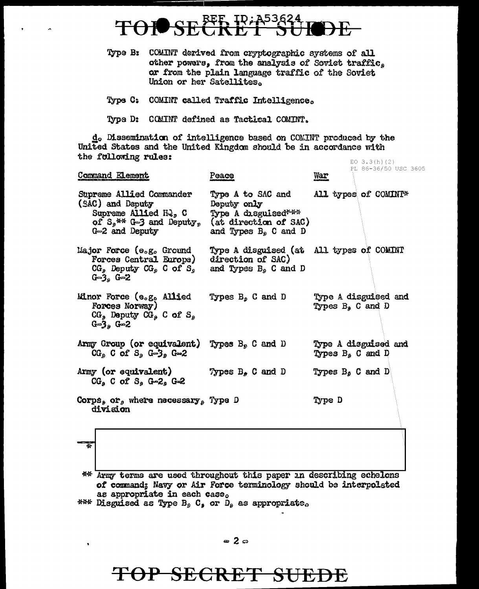# FF. ID;A5362

- Type B: COMINT derived from cryptographic systems of all other powers, from the analysis of Soviet traffic, or from the plain language traffic of the Soviet Union or her Satellites.
- Type C: COMINT called Traffic Intelligence.
- Type D: COMINT defined as Tactical COMINT.

 $d_0$  Dissemination of intelligence based on COMINT produced by the United States and the United Kingdom should be in accordance with the following rules: EO 3.3(h)(2)<br>PL 86-36/50 USC 3605

| Command Element                                                                                                                                                     | Peace                                                                                                      | War                                         |
|---------------------------------------------------------------------------------------------------------------------------------------------------------------------|------------------------------------------------------------------------------------------------------------|---------------------------------------------|
| Supreme Allied Commander<br>(SAC) and Deputy<br>Supreme Allied HQ, C<br>of $S_2$ ** G=3 and Deputy,<br>G-2 and Deputy                                               | Type A to SAC and<br>Deputy only<br>Type A disguised***<br>(at direction of SAC)<br>and Types $Be$ C and D | All types of COMINI*                        |
| Major Force (e.g. Ground<br>Forces Central Europe) direction of SAC)<br>$CGs$ Deputy $CGs$ C of S <sub>s</sub> and Types B <sub>s</sub> C and D<br>$G = 36$ $G = 2$ | Type A disguised (at All types of COMINT                                                                   |                                             |
| Minor Force (e.g. Allied<br>Forces Norway)<br>$CGn$ Deputy $CGn$ C of $Sn$<br>$G = 36$ $G = 2$                                                                      | Types $B_p$ C and D                                                                                        | Type A disguised and<br>Types $B_4$ C and D |
| Army Group (or equivalent)<br>$CG5$ C of S <sub>p</sub> G=3 <sub>p</sub> G=2                                                                                        | Types $B_p$ C and D                                                                                        | Type A disguised and<br>Types B, C and D    |
| Army (or equivalent)<br>$CGs$ C of $Ss$ G-2 <sub>s</sub> G-2                                                                                                        | Types $B_{\rho}$ C and D                                                                                   | Types $B_8$ C and D                         |
| Corps, or, where necessary, Type D<br>division                                                                                                                      |                                                                                                            | Type D                                      |

\*\* Army terms are used throughout this paper in describing echelons of command; Navy or Air Force terminology should be interpolated as appropriate in each case.

\*\*\* Disguised as Type B<sub>2</sub> C<sub>2</sub> or D<sub>2</sub> as appropriate.

# TOP SECRET SUEDE